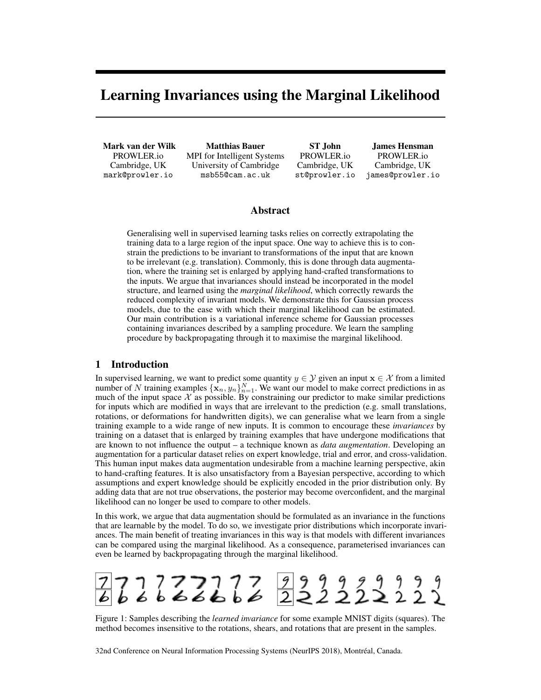# Learning Invariances using the Marginal Likelihood

Mark van der Wilk PROWLER.io Cambridge, UK mark@prowler.io

Matthias Bauer MPI for Intelligent Systems University of Cambridge msb55@cam.ac.uk

ST John PROWLER.io Cambridge, UK st@prowler.io

James Hensman PROWLER.io Cambridge, UK james@prowler.io

## Abstract

Generalising well in supervised learning tasks relies on correctly extrapolating the training data to a large region of the input space. One way to achieve this is to constrain the predictions to be invariant to transformations of the input that are known to be irrelevant (e.g. translation). Commonly, this is done through data augmentation, where the training set is enlarged by applying hand-crafted transformations to the inputs. We argue that invariances should instead be incorporated in the model structure, and learned using the *marginal likelihood*, which correctly rewards the reduced complexity of invariant models. We demonstrate this for Gaussian process models, due to the ease with which their marginal likelihood can be estimated. Our main contribution is a variational inference scheme for Gaussian processes containing invariances described by a sampling procedure. We learn the sampling procedure by backpropagating through it to maximise the marginal likelihood.

# 1 Introduction

In supervised learning, we want to predict some quantity  $y \in \mathcal{Y}$  given an input  $x \in \mathcal{X}$  from a limited number of N training examples  $\{x_n, y_n\}_{n=1}^N$ . We want our model to make correct predictions in as much of the input space  $X$  as possible. By constraining our predictor to make similar predictions for inputs which are modified in ways that are irrelevant to the prediction (e.g. small translations, rotations, or deformations for handwritten digits), we can generalise what we learn from a single training example to a wide range of new inputs. It is common to encourage these *invariances* by training on a dataset that is enlarged by training examples that have undergone modifications that are known to not influence the output – a technique known as *data augmentation*. Developing an augmentation for a particular dataset relies on expert knowledge, trial and error, and cross-validation. This human input makes data augmentation undesirable from a machine learning perspective, akin to hand-crafting features. It is also unsatisfactory from a Bayesian perspective, according to which assumptions and expert knowledge should be explicitly encoded in the prior distribution only. By adding data that are not true observations, the posterior may become overconfident, and the marginal likelihood can no longer be used to compare to other models.

In this work, we argue that data augmentation should be formulated as an invariance in the functions that are learnable by the model. To do so, we investigate prior distributions which incorporate invariances. The main benefit of treating invariances in this way is that models with different invariances can be compared using the marginal likelihood. As a consequence, parameterised invariances can even be learned by backpropagating through the marginal likelihood.



Figure 1: Samples describing the *learned invariance* for some example MNIST digits (squares). The method becomes insensitive to the rotations, shears, and rotations that are present in the samples.

32nd Conference on Neural Information Processing Systems (NeurIPS 2018), Montréal, Canada.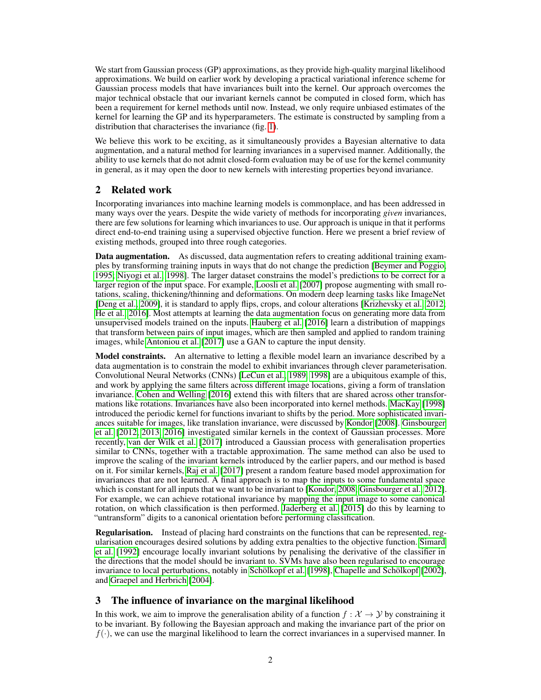We start from Gaussian process (GP) approximations, as they provide high-quality marginal likelihood approximations. We build on earlier work by developing a practical variational inference scheme for Gaussian process models that have invariances built into the kernel. Our approach overcomes the major technical obstacle that our invariant kernels cannot be computed in closed form, which has been a requirement for kernel methods until now. Instead, we only require unbiased estimates of the kernel for learning the GP and its hyperparameters. The estimate is constructed by sampling from a distribution that characterises the invariance (fig. 1).

We believe this work to be exciting, as it simultaneously provides a Bayesian alternative to data augmentation, and a natural method for learning invariances in a supervised manner. Additionally, the ability to use kernels that do not admit closed-form evaluation may be of use for the kernel community in general, as it may open the door to new kernels with interesting properties beyond invariance.

# 2 Related work

Incorporating invariances into machine learning models is commonplace, and has been addressed in many ways over the years. Despite the wide variety of methods for incorporating *given* invariances, there are few solutions for learning which invariances to use. Our approach is unique in that it performs direct end-to-end training using a supervised objective function. Here we present a brief review of existing methods, grouped into three rough categories.

**Data augmentation.** As discussed, data augmentation refers to creating additional training examples by transforming training inputs in ways that do not change the prediction [Beymer and Poggio, 1995; Niyogi et al., 1998]. The larger dataset constrains the model's predictions to be correct for a larger region of the input space. For example, Loosli et al. [2007] propose augmenting with small rotations, scaling, thickening/thinning and deformations. On modern deep learning tasks like ImageNet [Deng et al., 2009], it is standard to apply flips, crops, and colour alterations [Krizhevsky et al., 2012; He et al., 2016]. Most attempts at learning the data augmentation focus on generating more data from unsupervised models trained on the inputs. Hauberg et al. [2016] learn a distribution of mappings that transform between pairs of input images, which are then sampled and applied to random training images, while Antoniou et al. [2017] use a GAN to capture the input density.

Model constraints. An alternative to letting a flexible model learn an invariance described by a data augmentation is to constrain the model to exhibit invariances through clever parameterisation. Convolutional Neural Networks (CNNs) [LeCun et al., 1989, 1998] are a ubiquitous example of this, and work by applying the same filters across different image locations, giving a form of translation invariance. Cohen and Welling [2016] extend this with filters that are shared across other transformations like rotations. Invariances have also been incorporated into kernel methods. MacKay [1998] introduced the periodic kernel for functions invariant to shifts by the period. More sophisticated invariances suitable for images, like translation invariance, were discussed by Kondor [2008]. Ginsbourger et al. [2012, 2013, 2016] investigated similar kernels in the context of Gaussian processes. More recently, van der Wilk et al. [2017] introduced a Gaussian process with generalisation properties similar to CNNs, together with a tractable approximation. The same method can also be used to improve the scaling of the invariant kernels introduced by the earlier papers, and our method is based on it. For similar kernels, Raj et al. [2017] present a random feature based model approximation for invariances that are not learned. A final approach is to map the inputs to some fundamental space which is constant for all inputs that we want to be invariant to [Kondor, 2008; Ginsbourger et al., 2012]. For example, we can achieve rotational invariance by mapping the input image to some canonical rotation, on which classification is then performed. Jaderberg et al. [2015] do this by learning to "untransform" digits to a canonical orientation before performing classification.

Regularisation. Instead of placing hard constraints on the functions that can be represented, regularisation encourages desired solutions by adding extra penalties to the objective function. Simard et al. [1992] encourage locally invariant solutions by penalising the derivative of the classifier in the directions that the model should be invariant to. SVMs have also been regularised to encourage invariance to local perturbations, notably in Schölkopf et al. [1998], Chapelle and Schölkopf [2002], and Graepel and Herbrich [2004].

# 3 The influence of invariance on the marginal likelihood

In this work, we aim to improve the generalisation ability of a function  $f : \mathcal{X} \to \mathcal{Y}$  by constraining it to be invariant. By following the Bayesian approach and making the invariance part of the prior on  $f(\cdot)$ , we can use the marginal likelihood to learn the correct invariances in a supervised manner. In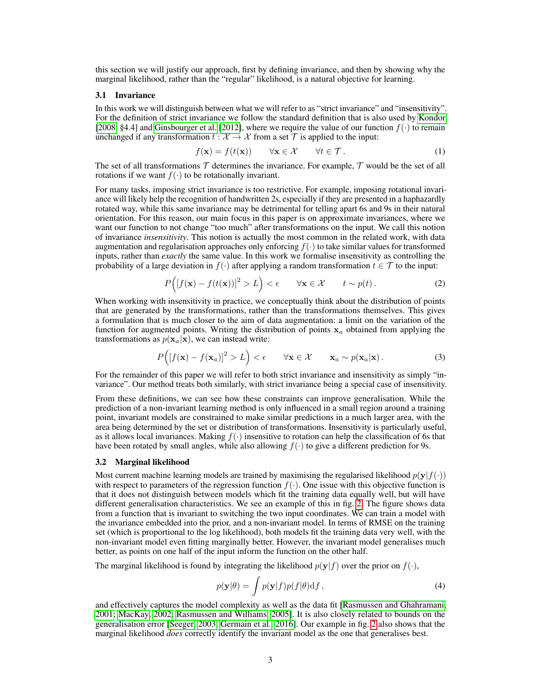this section we will justify our approach, first by defining invariance, and then by showing why the marginal likelihood, rather than the "regular" likelihood, is a natural objective for learning.

#### 3.1 Invariance

In this work we will distinguish between what we will refer to as "strict invariance" and "insensitivity". For the definition of strict invariance we follow the standard definition that is also used by Kondor [2008, §4.4] and Ginsbourger et al. [2012], where we require the value of our function  $f(\cdot)$  to remain unchanged if any transformation  $t : \mathcal{X} \to \mathcal{X}$  from a set  $\mathcal{T}$  is applied to the input:

$$
f(\mathbf{x}) = f(t(\mathbf{x})) \qquad \forall \mathbf{x} \in \mathcal{X} \qquad \forall t \in \mathcal{T}.
$$
 (1)

The set of all transformations  $\mathcal T$  determines the invariance. For example,  $\mathcal T$  would be the set of all rotations if we want  $f(\cdot)$  to be rotationally invariant.

For many tasks, imposing strict invariance is too restrictive. For example, imposing rotational invariance will likely help the recognition of handwritten 2s, especially if they are presented in a haphazardly rotated way, while this same invariance may be detrimental for telling apart 6s and 9s in their natural orientation. For this reason, our main focus in this paper is on approximate invariances, where we want our function to not change "too much" after transformations on the input. We call this notion of invariance *insensitivity*. This notion is actually the most common in the related work, with data augmentation and regularisation approaches only enforcing  $f(\cdot)$  to take similar values for transformed inputs, rather than *exactly* the same value. In this work we formalise insensitivity as controlling the probability of a large deviation in  $f(\cdot)$  after applying a random transformation  $t \in \mathcal{T}$  to the input:

$$
P\Big([f(\mathbf{x}) - f(t(\mathbf{x}))]^2 > L\Big) < \epsilon \qquad \forall \mathbf{x} \in \mathcal{X} \qquad t \sim p(t). \tag{2}
$$

When working with insensitivity in practice, we conceptually think about the distribution of points that are generated by the transformations, rather than the transformations themselves. This gives a formulation that is much closer to the aim of data augmentation: a limit on the variation of the function for augmented points. Writing the distribution of points  $x_a$  obtained from applying the transformations as  $p(\mathbf{x}_a|\mathbf{x})$ , we can instead write:

$$
P\Big(\big[f(\mathbf{x}) - f(\mathbf{x}_a)\big]^2 > L\Big) < \epsilon \qquad \forall \mathbf{x} \in \mathcal{X} \qquad \mathbf{x}_a \sim p(\mathbf{x}_a|\mathbf{x})\,. \tag{3}
$$

For the remainder of this paper we will refer to both strict invariance and insensitivity as simply "invariance". Our method treats both similarly, with strict invariance being a special case of insensitivity.

From these definitions, we can see how these constraints can improve generalisation. While the prediction of a non-invariant learning method is only influenced in a small region around a training point, invariant models are constrained to make similar predictions in a much larger area, with the area being determined by the set or distribution of transformations. Insensitivity is particularly useful, as it allows local invariances. Making  $f(\cdot)$  insensitive to rotation can help the classification of 6s that have been rotated by small angles, while also allowing  $f(\cdot)$  to give a different prediction for 9s.

#### 3.2 Marginal likelihood

Most current machine learning models are trained by maximising the regularised likelihood  $p(\mathbf{y}|f(\cdot))$ with respect to parameters of the regression function  $f(\cdot)$ . One issue with this objective function is that it does not distinguish between models which fit the training data equally well, but will have different generalisation characteristics. We see an example of this in fig. 2. The figure shows data from a function that is invariant to switching the two input coordinates. We can train a model with the invariance embedded into the prior, and a non-invariant model. In terms of RMSE on the training set (which is proportional to the log likelihood), both models fit the training data very well, with the non-invariant model even fitting marginally better. However, the invariant model generalises much better, as points on one half of the input inform the function on the other half.

The marginal likelihood is found by integrating the likelihood  $p(\mathbf{y}|f)$  over the prior on  $f(\cdot)$ ,

$$
p(\mathbf{y}|\theta) = \int p(\mathbf{y}|f)p(f|\theta) \mathrm{d}f,\tag{4}
$$

and effectively captures the model complexity as well as the data fit [Rasmussen and Ghahramani, 2001; MacKay, 2002; Rasmussen and Williams, 2005]. It is also closely related to bounds on the generalisation error [Seeger, 2003; Germain et al., 2016]. Our example in fig. 2 also shows that the marginal likelihood *does* correctly identify the invariant model as the one that generalises best.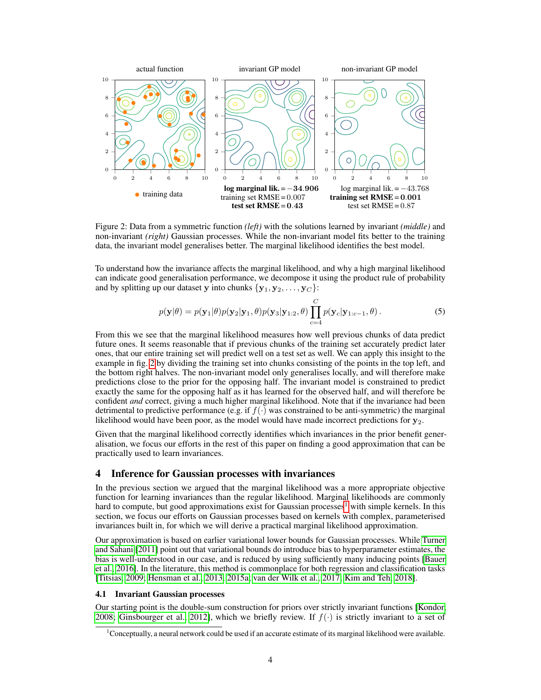

Figure 2: Data from a symmetric function *(left)* with the solutions learned by invariant *(middle)* and non-invariant *(right)* Gaussian processes. While the non-invariant model fits better to the training data, the invariant model generalises better. The marginal likelihood identifies the best model.

To understand how the invariance affects the marginal likelihood, and why a high marginal likelihood can indicate good generalisation performance, we decompose it using the product rule of probability and by splitting up our dataset y into chunks  $\{y_1, y_2, \ldots, y_C\}$ :

$$
p(\mathbf{y}|\theta) = p(\mathbf{y}_1|\theta) p(\mathbf{y}_2|\mathbf{y}_1, \theta) p(\mathbf{y}_3|\mathbf{y}_{1:2}, \theta) \prod_{c=4}^{C} p(\mathbf{y}_c|\mathbf{y}_{1:c-1}, \theta).
$$
 (5)

From this we see that the marginal likelihood measures how well previous chunks of data predict future ones. It seems reasonable that if previous chunks of the training set accurately predict later ones, that our entire training set will predict well on a test set as well. We can apply this insight to the example in fig. 2 by dividing the training set into chunks consisting of the points in the top left, and the bottom right halves. The non-invariant model only generalises locally, and will therefore make predictions close to the prior for the opposing half. The invariant model is constrained to predict exactly the same for the opposing half as it has learned for the observed half, and will therefore be confident *and* correct, giving a much higher marginal likelihood. Note that if the invariance had been detrimental to predictive performance (e.g. if  $f(\cdot)$  was constrained to be anti-symmetric) the marginal likelihood would have been poor, as the model would have made incorrect predictions for  $y_2$ .

Given that the marginal likelihood correctly identifies which invariances in the prior benefit generalisation, we focus our efforts in the rest of this paper on finding a good approximation that can be practically used to learn invariances.

## 4 Inference for Gaussian processes with invariances

In the previous section we argued that the marginal likelihood was a more appropriate objective function for learning invariances than the regular likelihood. Marginal likelihoods are commonly hard to compute, but good approximations exist for Gaussian processes<sup>1</sup> with simple kernels. In this section, we focus our efforts on Gaussian processes based on kernels with complex, parameterised invariances built in, for which we will derive a practical marginal likelihood approximation.

Our approximation is based on earlier variational lower bounds for Gaussian processes. While Turner and Sahani [2011] point out that variational bounds do introduce bias to hyperparameter estimates, the bias is well-understood in our case, and is reduced by using sufficiently many inducing points [Bauer et al., 2016]. In the literature, this method is commonplace for both regression and classification tasks [Titsias, 2009; Hensman et al., 2013, 2015a; van der Wilk et al., 2017; Kim and Teh, 2018].

#### 4.1 Invariant Gaussian processes

Our starting point is the double-sum construction for priors over strictly invariant functions [Kondor, 2008; Ginsbourger et al., 2012], which we briefly review. If  $f(\cdot)$  is strictly invariant to a set of

<sup>&</sup>lt;sup>1</sup>Conceptually, a neural network could be used if an accurate estimate of its marginal likelihood were available.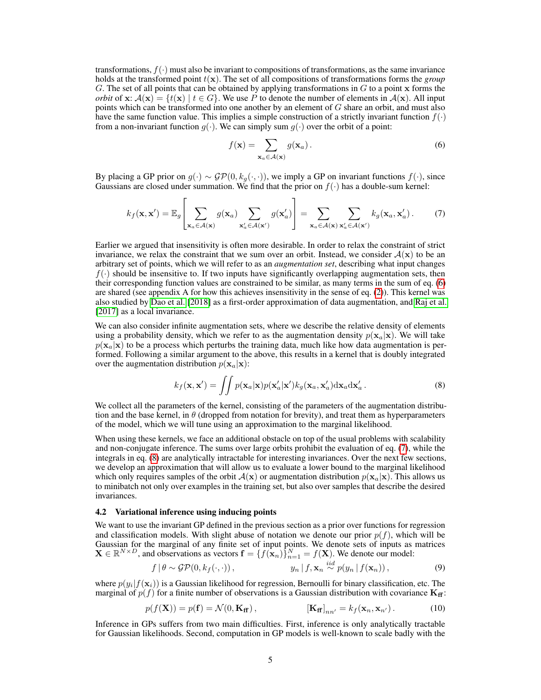transformations,  $f(\cdot)$  must also be invariant to compositions of transformations, as the same invariance holds at the transformed point  $t(\mathbf{x})$ . The set of all compositions of transformations forms the *group* G. The set of all points that can be obtained by applying transformations in  $G$  to a point  $x$  forms the *orbit* of  $x: A(x) = \{t(x) | t \in G\}$ . We use P to denote the number of elements in  $A(x)$ . All input points which can be transformed into one another by an element of  $G$  share an orbit, and must also have the same function value. This implies a simple construction of a strictly invariant function  $f(\cdot)$ from a non-invariant function  $g(\cdot)$ . We can simply sum  $g(\cdot)$  over the orbit of a point:

$$
f(\mathbf{x}) = \sum_{\mathbf{x}_a \in \mathcal{A}(\mathbf{x})} g(\mathbf{x}_a).
$$
 (6)

By placing a GP prior on  $g(\cdot) \sim \mathcal{GP}(0, k_g(\cdot, \cdot))$ , we imply a GP on invariant functions  $f(\cdot)$ , since Gaussians are closed under summation. We find that the prior on  $f(\cdot)$  has a double-sum kernel:

$$
k_f(\mathbf{x}, \mathbf{x}') = \mathbb{E}_g \left[ \sum_{\mathbf{x}_a \in \mathcal{A}(\mathbf{x})} g(\mathbf{x}_a) \sum_{\mathbf{x}'_a \in \mathcal{A}(\mathbf{x}')} g(\mathbf{x}'_a) \right] = \sum_{\mathbf{x}_a \in \mathcal{A}(\mathbf{x})} \sum_{\mathbf{x}'_a \in \mathcal{A}(\mathbf{x}')} k_g(\mathbf{x}_a, \mathbf{x}'_a).
$$
 (7)

Earlier we argued that insensitivity is often more desirable. In order to relax the constraint of strict invariance, we relax the constraint that we sum over an orbit. Instead, we consider  $A(x)$  to be an arbitrary set of points, which we will refer to as an *augmentation set*, describing what input changes  $f(\cdot)$  should be insensitive to. If two inputs have significantly overlapping augmentation sets, then their corresponding function values are constrained to be similar, as many terms in the sum of eq. (6) are shared (see appendix A for how this achieves insensitivity in the sense of eq. (2)). This kernel was also studied by Dao et al. [2018] as a first-order approximation of data augmentation, and Raj et al. [2017] as a local invariance.

We can also consider infinite augmentation sets, where we describe the relative density of elements using a probability density, which we refer to as the augmentation density  $p(\mathbf{x}_a|\mathbf{x})$ . We will take  $p(\mathbf{x}_a|\mathbf{x})$  to be a process which perturbs the training data, much like how data augmentation is performed. Following a similar argument to the above, this results in a kernel that is doubly integrated over the augmentation distribution  $p(\mathbf{x}_a|\mathbf{x})$ :

$$
k_f(\mathbf{x}, \mathbf{x}') = \iint p(\mathbf{x}_a|\mathbf{x}) p(\mathbf{x}'_a|\mathbf{x}') k_g(\mathbf{x}_a, \mathbf{x}'_a) d\mathbf{x}_a d\mathbf{x}'_a.
$$
 (8)

We collect all the parameters of the kernel, consisting of the parameters of the augmentation distribution and the base kernel, in  $\theta$  (dropped from notation for brevity), and treat them as hyperparameters of the model, which we will tune using an approximation to the marginal likelihood.

When using these kernels, we face an additional obstacle on top of the usual problems with scalability and non-conjugate inference. The sums over large orbits prohibit the evaluation of eq. (7), while the integrals in eq. (8) are analytically intractable for interesting invariances. Over the next few sections, we develop an approximation that will allow us to evaluate a lower bound to the marginal likelihood which only requires samples of the orbit  $A(x)$  or augmentation distribution  $p(x_a|x)$ . This allows us to minibatch not only over examples in the training set, but also over samples that describe the desired invariances.

#### 4.2 Variational inference using inducing points

We want to use the invariant GP defined in the previous section as a prior over functions for regression and classification models. With slight abuse of notation we denote our prior  $p(f)$ , which will be Gaussian for the marginal of any finite set of input points. We denote sets of inputs as matrices  $\mathbf{X} \in \mathbb{R}^{N \times D}$ , and observations as vectors  $\mathbf{f} = \{f(\mathbf{x}_n)\}_{n=1}^N = f(\mathbf{X})$ . We denote our model:

$$
f | \theta \sim \mathcal{GP}(0, k_f(\cdot, \cdot)), \qquad \qquad y_n | f, \mathbf{x}_n \stackrel{iid}{\sim} p(y_n | f(\mathbf{x}_n)), \qquad (9)
$$

where  $p(y_i|f(\mathbf{x}_i))$  is a Gaussian likelihood for regression, Bernoulli for binary classification, etc. The marginal of  $p(f)$  for a finite number of observations is a Gaussian distribution with covariance  $\mathbf{K}_{\mathbf{f}f}$ :

$$
p(f(\mathbf{X})) = p(\mathbf{f}) = \mathcal{N}(0, \mathbf{K}_{\mathbf{f}}), \qquad [\mathbf{K}_{\mathbf{f}}]_{nn'} = k_f(\mathbf{x}_n, \mathbf{x}_{n'}) \,. \tag{10}
$$

Inference in GPs suffers from two main difficulties. First, inference is only analytically tractable for Gaussian likelihoods. Second, computation in GP models is well-known to scale badly with the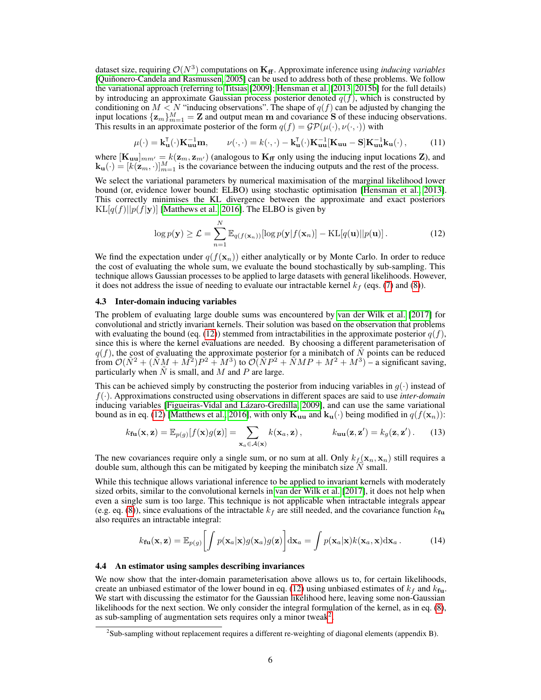dataset size, requiring  $\mathcal{O}(N^3)$  computations on  $\mathbf{K}_{\text{ff}}$ . Approximate inference using *inducing variables* [Quiñonero-Candela and Rasmussen, 2005] can be used to address both of these problems. We follow the variational approach (referring to Titsias [2009]; Hensman et al. [2013, 2015b] for the full details) by introducing an approximate Gaussian process posterior denoted  $q(f)$ , which is constructed by conditioning on  $M < N$  "inducing observations". The shape of  $q(f)$  can be adjusted by changing the input locations  $\{z_m\}_{m=1}^M = \mathbf{Z}$  and output mean m and covariance S of these inducing observations. This results in an approximate posterior of the form  $q(f) = \mathcal{GP}(\mu(\cdot), \nu(\cdot, \cdot))$  with

$$
\mu(\cdot) = \mathbf{k}_{\mathbf{u}}^{\mathsf{T}}(\cdot)\mathbf{K}_{\mathbf{u}\mathbf{u}}^{-1}\mathbf{m}, \qquad \nu(\cdot, \cdot) = k(\cdot, \cdot) - \mathbf{k}_{\mathbf{u}}^{\mathsf{T}}(\cdot)\mathbf{K}_{\mathbf{u}\mathbf{u}}^{-1}[\mathbf{K}_{\mathbf{u}\mathbf{u}} - \mathbf{S}]\mathbf{K}_{\mathbf{u}\mathbf{u}}^{-1}\mathbf{k}_{\mathbf{u}}(\cdot), \tag{11}
$$

where  $[\mathbf{K}_{uu}]_{mm'} = k(\mathbf{z}_m, \mathbf{z}_{m'})$  (analogous to  $\mathbf{K}_{\mathbf{f}f}$  only using the inducing input locations Z), and  $\mathbf{k}_{\mathbf{u}}(\cdot) = [k(\mathbf{z}_m, \cdot)]_{m=1}^M$  is the covariance between the inducing outputs and the rest of the process.

We select the variational parameters by numerical maximisation of the marginal likelihood lower bound (or, evidence lower bound: ELBO) using stochastic optimisation [Hensman et al., 2013]. This correctly minimises the KL divergence between the approximate and exact posteriors  $KL[q(f)||p(f|\mathbf{y})]$  [Matthews et al., 2016]. The ELBO is given by

$$
\log p(\mathbf{y}) \geq \mathcal{L} = \sum_{n=1}^{N} \mathbb{E}_{q(f(\mathbf{x}_n))}[\log p(\mathbf{y}|f(\mathbf{x}_n)] - \mathrm{KL}[q(\mathbf{u})||p(\mathbf{u})]. \tag{12}
$$

We find the expectation under  $q(f(\mathbf{x}_n))$  either analytically or by Monte Carlo. In order to reduce the cost of evaluating the whole sum, we evaluate the bound stochastically by sub-sampling. This technique allows Gaussian processes to be applied to large datasets with general likelihoods. However, it does not address the issue of needing to evaluate our intractable kernel  $k_f$  (eqs. (7) and (8)).

#### 4.3 Inter-domain inducing variables

The problem of evaluating large double sums was encountered by van der Wilk et al. [2017] for convolutional and strictly invariant kernels. Their solution was based on the observation that problems with evaluating the bound (eq. (12)) stemmed from intractabilities in the approximate posterior  $q(f)$ , since this is where the kernel evaluations are needed. By choosing a different parameterisation of  $q(f)$ , the cost of evaluating the approximate posterior for a minibatch of  $\tilde{N}$  points can be reduced from  $\mathcal{O}(\tilde{N}^2 + (\tilde{N}M + M^2)P^2 + M^3)$  to  $\mathcal{O}(\tilde{N}P^2 + \tilde{N}MP + M^2 + M^3)$  – a significant saving, particularly when  $\tilde{N}$  is small, and M and P are large.

This can be achieved simply by constructing the posterior from inducing variables in  $g(\cdot)$  instead of f(·). Approximations constructed using observations in different spaces are said to use *inter-domain* inducing variables [Figueiras-Vidal and Lázaro-Gredilla, 2009], and can use the same variational bound as in eq. (12) [Matthews et al., 2016], with only  $\mathbf{K}_{uu}$  and  $\mathbf{k}_{u}(\cdot)$  being modified in  $q(f(\mathbf{x}_n))$ :

$$
k_{\mathbf{fu}}(\mathbf{x}, \mathbf{z}) = \mathbb{E}_{p(g)}[f(\mathbf{x})g(\mathbf{z})] = \sum_{\mathbf{x}_a \in \mathcal{A}(\mathbf{x})} k(\mathbf{x}_a, \mathbf{z}), \qquad k_{\mathbf{uu}}(\mathbf{z}, \mathbf{z}') = k_g(\mathbf{z}, \mathbf{z}'). \tag{13}
$$

The new covariances require only a single sum, or no sum at all. Only  $k_f(\mathbf{x}_n, \mathbf{x}_n)$  still requires a double sum, although this can be mitigated by keeping the minibatch size  $\tilde{N}$  small.

While this technique allows variational inference to be applied to invariant kernels with moderately sized orbits, similar to the convolutional kernels in van der Wilk et al. [2017], it does not help when even a single sum is too large. This technique is not applicable when intractable integrals appear (e.g. eq. (8)), since evaluations of the intractable  $k_f$  are still needed, and the covariance function  $k_{\rm fu}$ also requires an intractable integral:

$$
k_{\mathbf{fu}}(\mathbf{x}, \mathbf{z}) = \mathbb{E}_{p(g)} \left[ \int p(\mathbf{x}_a | \mathbf{x}) g(\mathbf{x}_a) g(\mathbf{z}) \right] d\mathbf{x}_a = \int p(\mathbf{x}_a | \mathbf{x}) k(\mathbf{x}_a, \mathbf{x}) d\mathbf{x}_a.
$$
 (14)

#### 4.4 An estimator using samples describing invariances

We now show that the inter-domain parameterisation above allows us to, for certain likelihoods, create an unbiased estimator of the lower bound in eq. (12) using unbiased estimates of  $k_f$  and  $k_{\text{fn}}$ . We start with discussing the estimator for the Gaussian likelihood here, leaving some non-Gaussian likelihoods for the next section. We only consider the integral formulation of the kernel, as in eq. (8), as sub-sampling of augmentation sets requires only a minor tweak<sup>2</sup>.

 $2$ Sub-sampling without replacement requires a different re-weighting of diagonal elements (appendix B).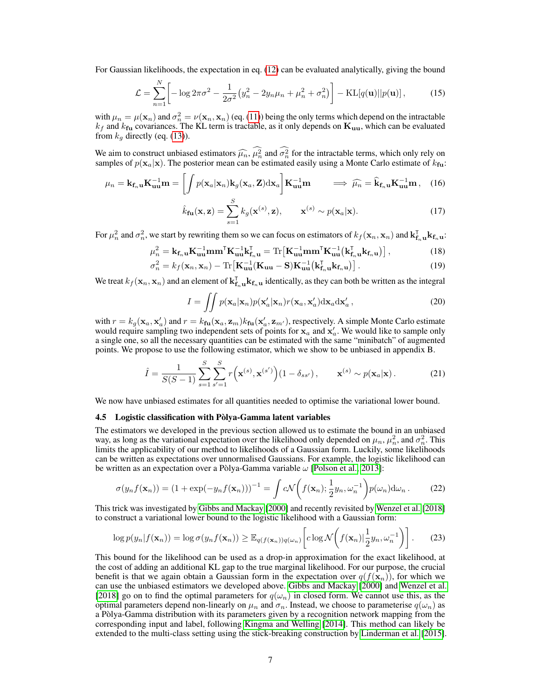For Gaussian likelihoods, the expectation in eq. (12) can be evaluated analytically, giving the bound

$$
\mathcal{L} = \sum_{n=1}^{N} \left[ -\log 2\pi \sigma^2 - \frac{1}{2\sigma^2} \left( y_n^2 - 2y_n \mu_n + \mu_n^2 + \sigma_n^2 \right) \right] - \text{KL}[q(\mathbf{u})||p(\mathbf{u})],\tag{15}
$$

with  $\mu_n = \mu(\mathbf{x}_n)$  and  $\sigma_n^2 = \nu(\mathbf{x}_n, \mathbf{x}_n)$  (eq. (11)) being the only terms which depend on the intractable  $k_f$  and  $k_{fu}$  covariances. The KL term is tractable, as it only depends on  $\mathbf{K}_{uu}$ , which can be evaluated from  $k_q$  directly (eq. (13)).

We aim to construct unbiased estimators  $\widehat{\mu_n}$ ,  $\mu_n^2$  and  $\sigma_n^2$  for the intractable terms, which only rely on samples of  $n(\mathbf{x} \mid \mathbf{x})$ . The posterior mean can be estimated easily using a Monte Carlo estimate of samples of  $p(\mathbf{x}_a|\mathbf{x})$ . The posterior mean can be estimated easily using a Monte Carlo estimate of  $k_{\text{fu}}$ :

$$
\mu_n = \mathbf{k}_{\mathbf{f}_n \mathbf{u}} \mathbf{K}_{\mathbf{u} \mathbf{u}}^{-1} \mathbf{m} = \left[ \int p(\mathbf{x}_a | \mathbf{x}_n) \mathbf{k}_g(\mathbf{x}_a, \mathbf{Z}) \mathrm{d} \mathbf{x}_a \right] \mathbf{K}_{\mathbf{u} \mathbf{u}}^{-1} \mathbf{m} \qquad \Longrightarrow \ \widehat{\mu_n} = \widehat{\mathbf{k}}_{\mathbf{f}_n \mathbf{u}} \mathbf{K}_{\mathbf{u} \mathbf{u}}^{-1} \mathbf{m} \,, \tag{16}
$$

$$
\hat{k}_{\mathbf{fu}}(\mathbf{x}, \mathbf{z}) = \sum_{s=1}^{S} k_g(\mathbf{x}^{(s)}, \mathbf{z}), \qquad \mathbf{x}^{(s)} \sim p(\mathbf{x}_a | \mathbf{x}). \tag{17}
$$

For  $\mu_n^2$  and  $\sigma_n^2$ , we start by rewriting them so we can focus on estimators of  $k_f(\mathbf{x}_n, \mathbf{x}_n)$  and  $\mathbf{k}_{\mathbf{f}_n}^{\mathsf{T}} \mathbf{u} \mathbf{k}_{\mathbf{f}_n} \mathbf{u}$ :

$$
\mu_n^2 = \mathbf{k}_{\mathbf{f}_n \mathbf{u}} \mathbf{K}_{\mathbf{u} \mathbf{u}}^{-1} \mathbf{m} \mathbf{m}^{\mathsf{T}} \mathbf{K}_{\mathbf{u} \mathbf{u}}^{-1} \mathbf{k}_{\mathbf{f}_n \mathbf{u}}^{\mathsf{T}} = \text{Tr} \left[ \mathbf{K}_{\mathbf{u} \mathbf{u}}^{-1} \mathbf{m} \mathbf{m}^{\mathsf{T}} \mathbf{K}_{\mathbf{u} \mathbf{u}}^{-1} \left( \mathbf{k}_{\mathbf{f}_n \mathbf{u}}^{\mathsf{T}} \mathbf{k}_{\mathbf{f}_n \mathbf{u}} \right) \right],\tag{18}
$$

$$
\sigma_n^2 = k_f(\mathbf{x}_n, \mathbf{x}_n) - \text{Tr}\left[\mathbf{K}_{\mathbf{u}\mathbf{u}}^{-1}(\mathbf{K}_{\mathbf{u}\mathbf{u}} - \mathbf{S})\mathbf{K}_{\mathbf{u}\mathbf{u}}^{-1}(\mathbf{k}_{\mathbf{f}_n\mathbf{u}}^{\mathsf{T}}\mathbf{k}_{\mathbf{f}_n\mathbf{u}})\right].\tag{19}
$$

We treat  $k_f(\mathbf{x}_n, \mathbf{x}_n)$  and an element of  $\mathbf{k}_{\mathbf{f}_n \mathbf{u}}^{\mathsf{T}} \mathbf{k}_{\mathbf{f}_n \mathbf{u}}$  identically, as they can both be written as the integral

$$
I = \iint p(\mathbf{x}_a|\mathbf{x}_n) p(\mathbf{x}_a'|\mathbf{x}_n) r(\mathbf{x}_a, \mathbf{x}_a') d\mathbf{x}_a d\mathbf{x}_a',
$$
 (20)

with  $r = k_g(\mathbf{x}_a, \mathbf{x}_a')$  and  $r = k_{\text{fu}}(\mathbf{x}_a, \mathbf{z}_m) k_{\text{fu}}(\mathbf{x}_a', \mathbf{z}_{m'})$ , respectively. A simple Monte Carlo estimate would require sampling two independent sets of points for  $x_a$  and  $x'_a$ . We would like to sample only a single one, so all the necessary quantities can be estimated with the same "minibatch" of augmented points. We propose to use the following estimator, which we show to be unbiased in appendix B.

$$
\hat{I} = \frac{1}{S(S-1)} \sum_{s=1}^{S} \sum_{s'=1}^{S} r(\mathbf{x}^{(s)}, \mathbf{x}^{(s')})(1 - \delta_{ss'}), \qquad \mathbf{x}^{(s)} \sim p(\mathbf{x}_a | \mathbf{x}). \tag{21}
$$

We now have unbiased estimates for all quantities needed to optimise the variational lower bound.

#### 4.5 Logistic classification with Pòlya-Gamma latent variables

The estimators we developed in the previous section allowed us to estimate the bound in an unbiased way, as long as the variational expectation over the likelihood only depended on  $\mu_n$ ,  $\mu_n^2$ , and  $\sigma_n^2$ . This limits the applicability of our method to likelihoods of a Gaussian form. Luckily, some likelihoods can be written as expectations over unnormalised Gaussians. For example, the logistic likelihood can be written as an expectation over a Pòlya-Gamma variable  $\omega$  [Polson et al., 2013]:

$$
\sigma(y_n f(\mathbf{x}_n)) = (1 + \exp(-y_n f(\mathbf{x}_n)))^{-1} = \int c \mathcal{N}\left(f(\mathbf{x}_n); \frac{1}{2}y_n, \omega_n^{-1}\right) p(\omega_n) d\omega_n.
$$
 (22)

This trick was investigated by Gibbs and Mackay [2000] and recently revisited by Wenzel et al. [2018] to construct a variational lower bound to the logistic likelihood with a Gaussian form:

$$
\log p(y_n|f(\mathbf{x}_n)) = \log \sigma(y_n f(\mathbf{x}_n)) \ge \mathbb{E}_{q(f(\mathbf{x}_n))q(\omega_n)} \left[ c \log \mathcal{N}\left(f(\mathbf{x}_n)| \frac{1}{2} y_n, \omega_n^{-1}\right) \right].
$$
 (23)

This bound for the likelihood can be used as a drop-in approximation for the exact likelihood, at the cost of adding an additional KL gap to the true marginal likelihood. For our purpose, the crucial benefit is that we again obtain a Gaussian form in the expectation over  $q(f(\mathbf{x}_n))$ , for which we can use the unbiased estimators we developed above. Gibbs and Mackay [2000] and Wenzel et al. [2018] go on to find the optimal parameters for  $q(\omega_n)$  in closed form. We cannot use this, as the optimal parameters depend non-linearly on  $\mu_n$  and  $\sigma_n$ . Instead, we choose to parameterise  $q(\omega_n)$  as a Pòlya-Gamma distribution with its parameters given by a recognition network mapping from the corresponding input and label, following Kingma and Welling [2014]. This method can likely be extended to the multi-class setting using the stick-breaking construction by Linderman et al. [2015].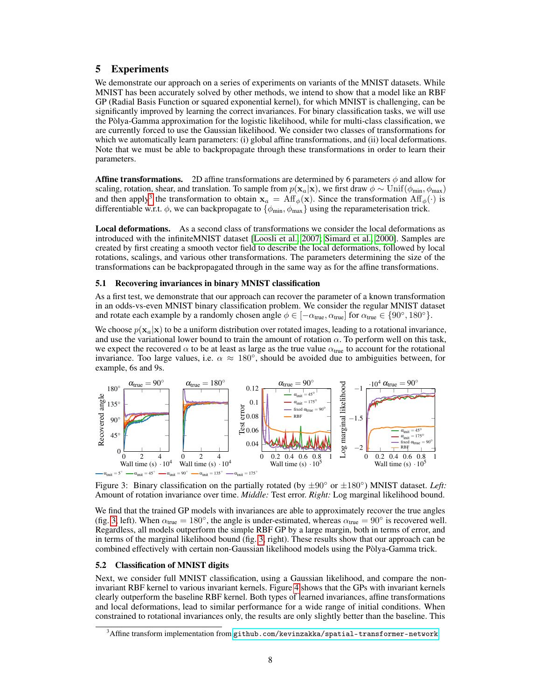# 5 Experiments

We demonstrate our approach on a series of experiments on variants of the MNIST datasets. While MNIST has been accurately solved by other methods, we intend to show that a model like an RBF GP (Radial Basis Function or squared exponential kernel), for which MNIST is challenging, can be significantly improved by learning the correct invariances. For binary classification tasks, we will use the Pòlya-Gamma approximation for the logistic likelihood, while for multi-class classification, we are currently forced to use the Gaussian likelihood. We consider two classes of transformations for which we automatically learn parameters: (i) global affine transformations, and (ii) local deformations. Note that we must be able to backpropagate through these transformations in order to learn their parameters.

**Affine transformations.** 2D affine transformations are determined by 6 parameters  $\phi$  and allow for scaling, rotation, shear, and translation. To sample from  $p(\mathbf{x}_a|\mathbf{x})$ , we first draw  $\phi \sim \text{Unif}(\phi_{\text{min}}, \phi_{\text{max}})$ and then apply<sup>3</sup> the transformation to obtain  $x_a = Aff_\phi(x)$ . Since the transformation  $Aff_\phi(\cdot)$  is differentiable w.r.t.  $\phi$ , we can backpropagate to  $\{\phi_{\min}, \phi_{\max}\}\$  using the reparameterisation trick.

Local deformations. As a second class of transformations we consider the local deformations as introduced with the infiniteMNIST dataset [Loosli et al., 2007; Simard et al., 2000]. Samples are created by first creating a smooth vector field to describe the local deformations, followed by local rotations, scalings, and various other transformations. The parameters determining the size of the transformations can be backpropagated through in the same way as for the affine transformations.

#### 5.1 Recovering invariances in binary MNIST classification

As a first test, we demonstrate that our approach can recover the parameter of a known transformation in an odds-vs-even MNIST binary classification problem. We consider the regular MNIST dataset and rotate each example by a randomly chosen angle  $\phi \in [-\alpha_{true}, \alpha_{true}]$  for  $\alpha_{true} \in \{90^\circ, 180^\circ\}$ .

We choose  $p(\mathbf{x}_a|\mathbf{x})$  to be a uniform distribution over rotated images, leading to a rotational invariance, and use the variational lower bound to train the amount of rotation  $\alpha$ . To perform well on this task, we expect the recovered  $\alpha$  to be at least as large as the true value  $\alpha_{true}$  to account for the rotational invariance. Too large values, i.e.  $\alpha \approx 180^{\circ}$ , should be avoided due to ambiguities between, for example, 6s and 9s.



Figure 3: Binary classification on the partially rotated (by  $\pm 90^\circ$  or  $\pm 180^\circ$ ) MNIST dataset. *Left:* Amount of rotation invariance over time. *Middle:* Test error. *Right:* Log marginal likelihood bound.

We find that the trained GP models with invariances are able to approximately recover the true angles (fig. 3, left). When  $\alpha_{true} = 180^\circ$ , the angle is under-estimated, whereas  $\alpha_{true} = 90^\circ$  is recovered well. Regardless, all models outperform the simple RBF GP by a large margin, both in terms of error, and in terms of the marginal likelihood bound (fig. 3, right). These results show that our approach can be combined effectively with certain non-Gaussian likelihood models using the Pòlya-Gamma trick.

#### 5.2 Classification of MNIST digits

Next, we consider full MNIST classification, using a Gaussian likelihood, and compare the noninvariant RBF kernel to various invariant kernels. Figure 4 shows that the GPs with invariant kernels clearly outperform the baseline RBF kernel. Both types of learned invariances, affine transformations and local deformations, lead to similar performance for a wide range of initial conditions. When constrained to rotational invariances only, the results are only slightly better than the baseline. This

 $^3$ Affine transform implementation from <github.com/kevinzakka/spatial-transformer-network>.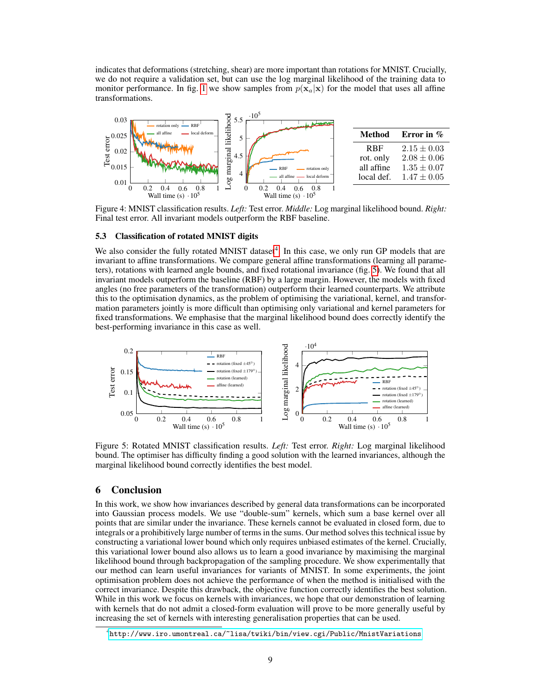indicates that deformations (stretching, shear) are more important than rotations for MNIST. Crucially, we do not require a validation set, but can use the log marginal likelihood of the training data to monitor performance. In fig. 1 we show samples from  $p(\mathbf{x}_a|\mathbf{x})$  for the model that uses all affine transformations.



Figure 4: MNIST classification results. *Left:* Test error. *Middle:* Log marginal likelihood bound. *Right:* Final test error. All invariant models outperform the RBF baseline.

#### 5.3 Classification of rotated MNIST digits

We also consider the fully rotated MNIST dataset<sup>4</sup>. In this case, we only run GP models that are invariant to affine transformations. We compare general affine transformations (learning all parameters), rotations with learned angle bounds, and fixed rotational invariance (fig. 5). We found that all invariant models outperform the baseline (RBF) by a large margin. However, the models with fixed angles (no free parameters of the transformation) outperform their learned counterparts. We attribute this to the optimisation dynamics, as the problem of optimising the variational, kernel, and transformation parameters jointly is more difficult than optimising only variational and kernel parameters for fixed transformations. We emphasise that the marginal likelihood bound does correctly identify the best-performing invariance in this case as well.



Figure 5: Rotated MNIST classification results. *Left:* Test error. *Right:* Log marginal likelihood bound. The optimiser has difficulty finding a good solution with the learned invariances, although the marginal likelihood bound correctly identifies the best model.

## 6 Conclusion

In this work, we show how invariances described by general data transformations can be incorporated into Gaussian process models. We use "double-sum" kernels, which sum a base kernel over all points that are similar under the invariance. These kernels cannot be evaluated in closed form, due to integrals or a prohibitively large number of terms in the sums. Our method solves this technical issue by constructing a variational lower bound which only requires unbiased estimates of the kernel. Crucially, this variational lower bound also allows us to learn a good invariance by maximising the marginal likelihood bound through backpropagation of the sampling procedure. We show experimentally that our method can learn useful invariances for variants of MNIST. In some experiments, the joint optimisation problem does not achieve the performance of when the method is initialised with the correct invariance. Despite this drawback, the objective function correctly identifies the best solution. While in this work we focus on kernels with invariances, we hope that our demonstration of learning with kernels that do not admit a closed-form evaluation will prove to be more generally useful by increasing the set of kernels with interesting generalisation properties that can be used.

<sup>4</sup> <http://www.iro.umontreal.ca/~lisa/twiki/bin/view.cgi/Public/MnistVariations>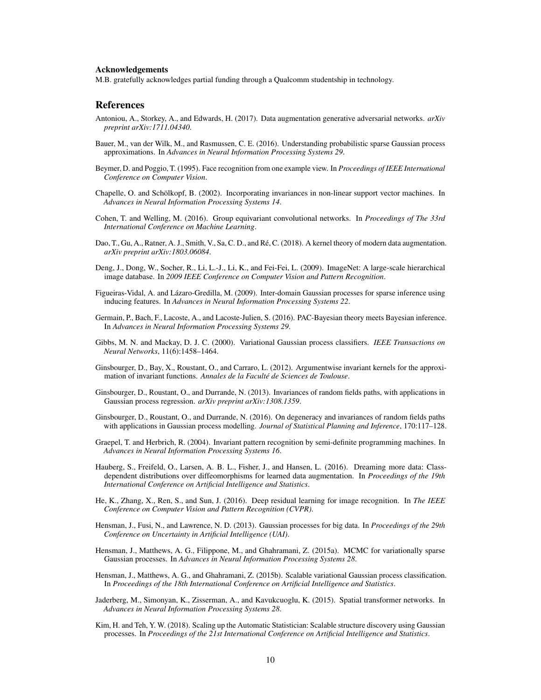#### Acknowledgements

M.B. gratefully acknowledges partial funding through a Qualcomm studentship in technology.

### References

- Antoniou, A., Storkey, A., and Edwards, H. (2017). Data augmentation generative adversarial networks. *arXiv preprint arXiv:1711.04340*.
- Bauer, M., van der Wilk, M., and Rasmussen, C. E. (2016). Understanding probabilistic sparse Gaussian process approximations. In *Advances in Neural Information Processing Systems 29*.
- Beymer, D. and Poggio, T. (1995). Face recognition from one example view. In *Proceedings of IEEE International Conference on Computer Vision*.
- Chapelle, O. and Schölkopf, B. (2002). Incorporating invariances in non-linear support vector machines. In *Advances in Neural Information Processing Systems 14*.
- Cohen, T. and Welling, M. (2016). Group equivariant convolutional networks. In *Proceedings of The 33rd International Conference on Machine Learning*.
- Dao, T., Gu, A., Ratner, A. J., Smith, V., Sa, C. D., and Ré, C. (2018). A kernel theory of modern data augmentation. *arXiv preprint arXiv:1803.06084*.
- Deng, J., Dong, W., Socher, R., Li, L.-J., Li, K., and Fei-Fei, L. (2009). ImageNet: A large-scale hierarchical image database. In *2009 IEEE Conference on Computer Vision and Pattern Recognition*.
- Figueiras-Vidal, A. and Lázaro-Gredilla, M. (2009). Inter-domain Gaussian processes for sparse inference using inducing features. In *Advances in Neural Information Processing Systems 22*.
- Germain, P., Bach, F., Lacoste, A., and Lacoste-Julien, S. (2016). PAC-Bayesian theory meets Bayesian inference. In *Advances in Neural Information Processing Systems 29*.
- Gibbs, M. N. and Mackay, D. J. C. (2000). Variational Gaussian process classifiers. *IEEE Transactions on Neural Networks*, 11(6):1458–1464.
- Ginsbourger, D., Bay, X., Roustant, O., and Carraro, L. (2012). Argumentwise invariant kernels for the approximation of invariant functions. *Annales de la Faculté de Sciences de Toulouse*.
- Ginsbourger, D., Roustant, O., and Durrande, N. (2013). Invariances of random fields paths, with applications in Gaussian process regression. *arXiv preprint arXiv:1308.1359*.
- Ginsbourger, D., Roustant, O., and Durrande, N. (2016). On degeneracy and invariances of random fields paths with applications in Gaussian process modelling. *Journal of Statistical Planning and Inference*, 170:117–128.
- Graepel, T. and Herbrich, R. (2004). Invariant pattern recognition by semi-definite programming machines. In *Advances in Neural Information Processing Systems 16*.
- Hauberg, S., Freifeld, O., Larsen, A. B. L., Fisher, J., and Hansen, L. (2016). Dreaming more data: Classdependent distributions over diffeomorphisms for learned data augmentation. In *Proceedings of the 19th International Conference on Artificial Intelligence and Statistics*.
- He, K., Zhang, X., Ren, S., and Sun, J. (2016). Deep residual learning for image recognition. In *The IEEE Conference on Computer Vision and Pattern Recognition (CVPR)*.
- Hensman, J., Fusi, N., and Lawrence, N. D. (2013). Gaussian processes for big data. In *Proceedings of the 29th Conference on Uncertainty in Artificial Intelligence (UAI)*.
- Hensman, J., Matthews, A. G., Filippone, M., and Ghahramani, Z. (2015a). MCMC for variationally sparse Gaussian processes. In *Advances in Neural Information Processing Systems 28*.
- Hensman, J., Matthews, A. G., and Ghahramani, Z. (2015b). Scalable variational Gaussian process classification. In *Proceedings of the 18th International Conference on Artificial Intelligence and Statistics*.
- Jaderberg, M., Simonyan, K., Zisserman, A., and Kavukcuoglu, K. (2015). Spatial transformer networks. In *Advances in Neural Information Processing Systems 28*.
- Kim, H. and Teh, Y. W. (2018). Scaling up the Automatic Statistician: Scalable structure discovery using Gaussian processes. In *Proceedings of the 21st International Conference on Artificial Intelligence and Statistics*.